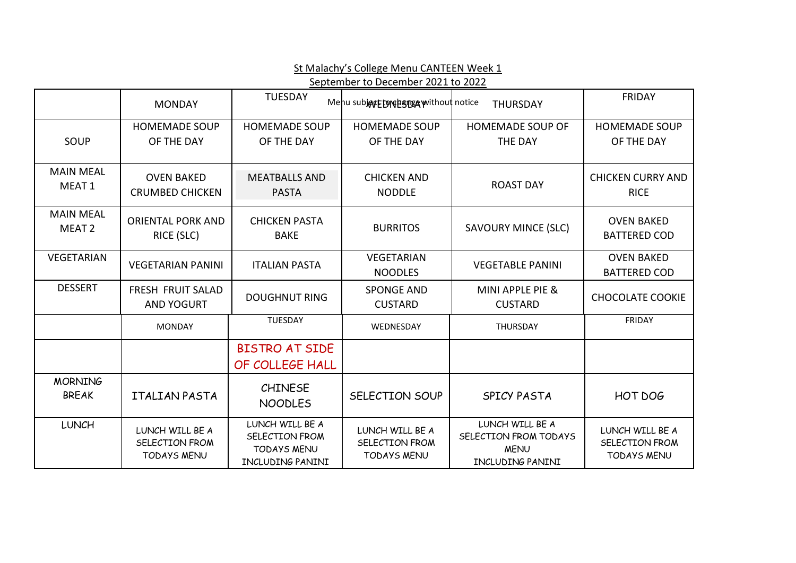|                                       | September to December 2021 to 2022                      |                                                                             |                                                         |                                                                             |                                                         |  |  |
|---------------------------------------|---------------------------------------------------------|-----------------------------------------------------------------------------|---------------------------------------------------------|-----------------------------------------------------------------------------|---------------------------------------------------------|--|--|
|                                       | <b>MONDAY</b>                                           | <b>TUESDAY</b>                                                              | Menu subject to response without notice                 | <b>THURSDAY</b>                                                             | <b>FRIDAY</b>                                           |  |  |
| SOUP                                  | <b>HOMEMADE SOUP</b><br>OF THE DAY                      | <b>HOMEMADE SOUP</b><br>OF THE DAY                                          | <b>HOMEMADE SOUP</b><br>OF THE DAY                      | <b>HOMEMADE SOUP OF</b><br>THE DAY                                          | <b>HOMEMADE SOUP</b><br>OF THE DAY                      |  |  |
| <b>MAIN MEAL</b><br>MEAT <sub>1</sub> | <b>OVEN BAKED</b><br><b>CRUMBED CHICKEN</b>             | <b>MEATBALLS AND</b><br><b>PASTA</b>                                        | <b>CHICKEN AND</b><br><b>NODDLE</b>                     | <b>ROAST DAY</b>                                                            | <b>CHICKEN CURRY AND</b><br><b>RICE</b>                 |  |  |
| <b>MAIN MEAL</b><br>MEAT <sub>2</sub> | <b>ORIENTAL PORK AND</b><br>RICE (SLC)                  | <b>CHICKEN PASTA</b><br><b>BAKE</b>                                         | <b>BURRITOS</b>                                         | <b>SAVOURY MINCE (SLC)</b>                                                  | <b>OVEN BAKED</b><br><b>BATTERED COD</b>                |  |  |
| <b>VEGETARIAN</b>                     | <b>VEGETARIAN PANINI</b>                                | <b>ITALIAN PASTA</b>                                                        | <b>VEGETARIAN</b><br><b>NOODLES</b>                     | <b>VEGETABLE PANINI</b>                                                     | <b>OVEN BAKED</b><br><b>BATTERED COD</b>                |  |  |
| <b>DESSERT</b>                        | FRESH FRUIT SALAD<br><b>AND YOGURT</b>                  | <b>DOUGHNUT RING</b>                                                        | <b>SPONGE AND</b><br><b>CUSTARD</b>                     | MINI APPLE PIE &<br><b>CUSTARD</b>                                          | <b>CHOCOLATE COOKIE</b>                                 |  |  |
|                                       | <b>MONDAY</b>                                           | TUESDAY                                                                     | WEDNESDAY                                               | THURSDAY                                                                    | <b>FRIDAY</b>                                           |  |  |
|                                       |                                                         | <b>BISTRO AT SIDE</b><br>OF COLLEGE HALL                                    |                                                         |                                                                             |                                                         |  |  |
| <b>MORNING</b><br><b>BREAK</b>        | ITALIAN PASTA                                           | <b>CHINESE</b><br><b>NOODLES</b>                                            | SELECTION SOUP                                          | SPICY PASTA                                                                 | HOT DOG                                                 |  |  |
| <b>LUNCH</b>                          | LUNCH WILL BE A<br>SELECTION FROM<br><b>TODAYS MENU</b> | LUNCH WILL BE A<br>SELECTION FROM<br><b>TODAYS MENU</b><br>INCLUDING PANINI | LUNCH WILL BE A<br>SELECTION FROM<br><b>TODAYS MENU</b> | LUNCH WILL BE A<br>SELECTION FROM TODAYS<br><b>MENU</b><br>INCLUDING PANINI | LUNCH WILL BE A<br>SELECTION FROM<br><b>TODAYS MENU</b> |  |  |

St Malachy's College Menu CANTEEN Week 1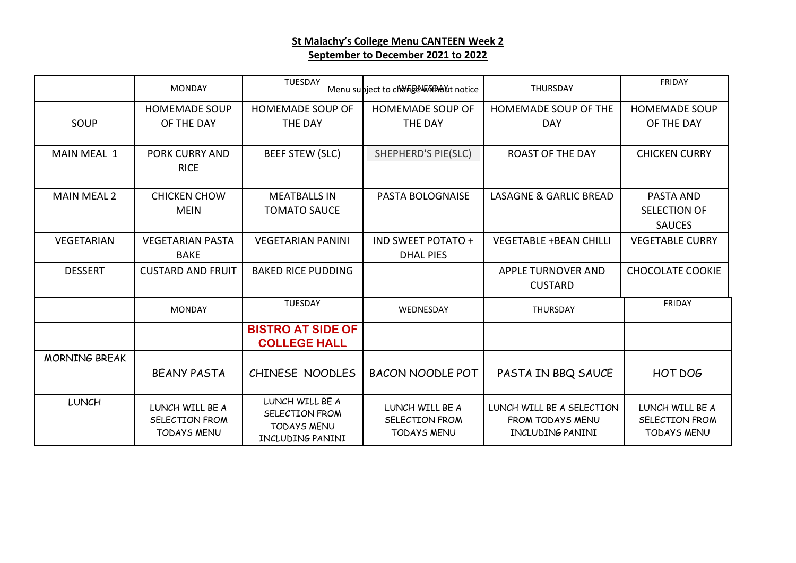### **St Malachy's College Menu CANTEEN Week 2 September to December 2021 to 2022**

|                      | <b>MONDAY</b>                                           | <b>TUESDAY</b>                                                              | Menu subject to clara a war water notice                | <b>THURSDAY</b>                                                          | <b>FRIDAY</b>                                           |
|----------------------|---------------------------------------------------------|-----------------------------------------------------------------------------|---------------------------------------------------------|--------------------------------------------------------------------------|---------------------------------------------------------|
|                      | <b>HOMEMADE SOUP</b>                                    | <b>HOMEMADE SOUP OF</b>                                                     | <b>HOMEMADE SOUP OF</b>                                 | HOMEMADE SOUP OF THE                                                     | <b>HOMEMADE SOUP</b>                                    |
| SOUP                 | OF THE DAY                                              | THE DAY                                                                     | THE DAY                                                 | <b>DAY</b>                                                               | OF THE DAY                                              |
| <b>MAIN MEAL 1</b>   | <b>PORK CURRY AND</b><br><b>RICE</b>                    | <b>BEEF STEW (SLC)</b>                                                      | SHEPHERD'S PIE(SLC)                                     | <b>ROAST OF THE DAY</b>                                                  | <b>CHICKEN CURRY</b>                                    |
| <b>MAIN MEAL 2</b>   | <b>CHICKEN CHOW</b>                                     | <b>MEATBALLS IN</b>                                                         | PASTA BOLOGNAISE                                        | <b>LASAGNE &amp; GARLIC BREAD</b>                                        | PASTA AND                                               |
|                      | <b>MEIN</b>                                             | <b>TOMATO SAUCE</b>                                                         |                                                         |                                                                          | SELECTION OF                                            |
|                      |                                                         |                                                                             |                                                         |                                                                          | <b>SAUCES</b>                                           |
| VEGETARIAN           | <b>VEGETARIAN PASTA</b><br><b>BAKE</b>                  | <b>VEGETARIAN PANINI</b>                                                    | IND SWEET POTATO +                                      | <b>VEGETABLE +BEAN CHILLI</b>                                            | <b>VEGETABLE CURRY</b>                                  |
|                      |                                                         |                                                                             | <b>DHAL PIES</b>                                        |                                                                          |                                                         |
| <b>DESSERT</b>       | <b>CUSTARD AND FRUIT</b>                                | <b>BAKED RICE PUDDING</b>                                                   |                                                         | <b>APPLE TURNOVER AND</b>                                                | <b>CHOCOLATE COOKIE</b>                                 |
|                      |                                                         |                                                                             |                                                         | <b>CUSTARD</b>                                                           |                                                         |
|                      | <b>MONDAY</b>                                           | <b>TUESDAY</b>                                                              | WEDNESDAY                                               | THURSDAY                                                                 | <b>FRIDAY</b>                                           |
|                      |                                                         | <b>BISTRO AT SIDE OF</b><br><b>COLLEGE HALL</b>                             |                                                         |                                                                          |                                                         |
| <b>MORNING BREAK</b> |                                                         |                                                                             |                                                         |                                                                          |                                                         |
|                      | <b>BEANY PASTA</b>                                      | CHINESE NOODLES                                                             | <b>BACON NOODLE POT</b>                                 | PASTA IN BBQ SAUCE                                                       | HOT DOG                                                 |
| <b>LUNCH</b>         | LUNCH WILL BE A<br>SELECTION FROM<br><b>TODAYS MENU</b> | LUNCH WILL BE A<br>SELECTION FROM<br><b>TODAYS MENU</b><br>INCLUDING PANINI | LUNCH WILL BE A<br>SELECTION FROM<br><b>TODAYS MENU</b> | LUNCH WILL BE A SELECTION<br><b>FROM TODAYS MENU</b><br>INCLUDING PANINI | LUNCH WILL BE A<br>SELECTION FROM<br><b>TODAYS MENU</b> |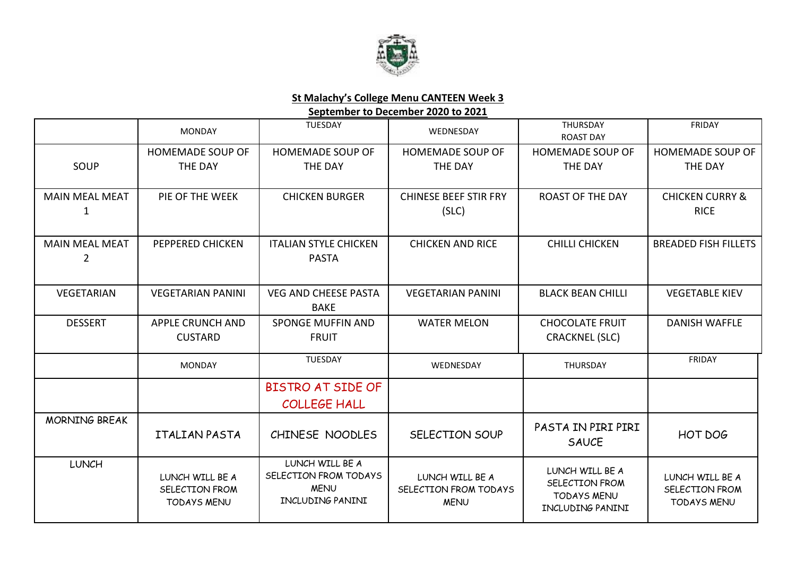

#### **St Malachy's College Menu CANTEEN Week 3**

**September to December 2020 to 2021**

|                                         | <b>MONDAY</b>                                           | <b>TUESDAY</b>                                                              | WEDNESDAY                                               | THURSDAY<br><b>ROAST DAY</b>                                                | FRIDAY                                                  |
|-----------------------------------------|---------------------------------------------------------|-----------------------------------------------------------------------------|---------------------------------------------------------|-----------------------------------------------------------------------------|---------------------------------------------------------|
| SOUP                                    | <b>HOMEMADE SOUP OF</b><br>THE DAY                      | <b>HOMEMADE SOUP OF</b><br>THE DAY                                          | <b>HOMEMADE SOUP OF</b><br><b>THE DAY</b>               | <b>HOMEMADE SOUP OF</b><br>THE DAY                                          | <b>HOMEMADE SOUP OF</b><br>THE DAY                      |
| <b>MAIN MEAL MEAT</b><br>1              | PIE OF THE WEEK                                         | <b>CHICKEN BURGER</b>                                                       | <b>CHINESE BEEF STIR FRY</b><br>(SLC)                   | <b>ROAST OF THE DAY</b>                                                     | <b>CHICKEN CURRY &amp;</b><br><b>RICE</b>               |
| <b>MAIN MEAL MEAT</b><br>$\overline{2}$ | PEPPERED CHICKEN                                        | <b>ITALIAN STYLE CHICKEN</b><br><b>PASTA</b>                                | <b>CHICKEN AND RICE</b>                                 | <b>CHILLI CHICKEN</b>                                                       | <b>BREADED FISH FILLETS</b>                             |
| VEGETARIAN                              | <b>VEGETARIAN PANINI</b>                                | <b>VEG AND CHEESE PASTA</b><br><b>BAKE</b>                                  | <b>VEGETARIAN PANINI</b>                                | <b>BLACK BEAN CHILLI</b>                                                    | <b>VEGETABLE KIEV</b>                                   |
| <b>DESSERT</b>                          | <b>APPLE CRUNCH AND</b><br><b>CUSTARD</b>               | <b>SPONGE MUFFIN AND</b><br><b>FRUIT</b>                                    | <b>WATER MELON</b>                                      | <b>CHOCOLATE FRUIT</b><br><b>CRACKNEL (SLC)</b>                             | <b>DANISH WAFFLE</b>                                    |
|                                         | <b>MONDAY</b>                                           | TUESDAY                                                                     | WEDNESDAY                                               | THURSDAY                                                                    | <b>FRIDAY</b>                                           |
|                                         |                                                         | <b>BISTRO AT SIDE OF</b><br><b>COLLEGE HALL</b>                             |                                                         |                                                                             |                                                         |
| <b>MORNING BREAK</b>                    | <b>ITALIAN PASTA</b>                                    | CHINESE NOODLES                                                             | SELECTION SOUP                                          | PASTA IN PIRI PIRI<br><b>SAUCE</b>                                          | HOT DOG                                                 |
| <b>LUNCH</b>                            | LUNCH WILL BE A<br>SELECTION FROM<br><b>TODAYS MENU</b> | LUNCH WILL BE A<br>SELECTION FROM TODAYS<br><b>MENU</b><br>INCLUDING PANINI | LUNCH WILL BE A<br>SELECTION FROM TODAYS<br><b>MENU</b> | LUNCH WILL BE A<br>SELECTION FROM<br><b>TODAYS MENU</b><br>INCLUDING PANINI | LUNCH WILL BE A<br>SELECTION FROM<br><b>TODAYS MENU</b> |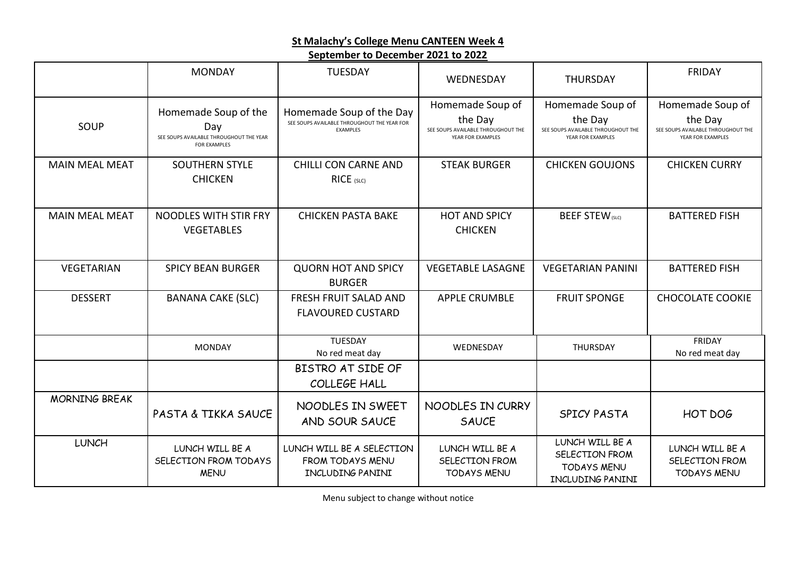### **St Malachy's College Menu CANTEEN Week 4**

#### **September to December 2021 to 2022**

|                       | <b>MONDAY</b>                                                                                 | <b>TUESDAY</b>                                                                      | WEDNESDAY                                                                              | <b>THURSDAY</b>                                                                        | <b>FRIDAY</b>                                                                          |
|-----------------------|-----------------------------------------------------------------------------------------------|-------------------------------------------------------------------------------------|----------------------------------------------------------------------------------------|----------------------------------------------------------------------------------------|----------------------------------------------------------------------------------------|
| SOUP                  | Homemade Soup of the<br>Day<br>SEE SOUPS AVAILABLE THROUGHOUT THE YEAR<br><b>FOR EXAMPLES</b> | Homemade Soup of the Day<br>SEE SOUPS AVAILABLE THROUGHOUT THE YEAR FOR<br>EXAMPLES | Homemade Soup of<br>the Day<br>SEE SOUPS AVAILABLE THROUGHOUT THE<br>YEAR FOR EXAMPLES | Homemade Soup of<br>the Day<br>SEE SOUPS AVAILABLE THROUGHOUT THE<br>YEAR FOR EXAMPLES | Homemade Soup of<br>the Day<br>SEE SOUPS AVAILABLE THROUGHOUT THE<br>YEAR FOR EXAMPLES |
| <b>MAIN MEAL MEAT</b> | <b>SOUTHERN STYLE</b><br><b>CHICKEN</b>                                                       | <b>CHILLI CON CARNE AND</b><br>RICE (SLC)                                           | <b>STEAK BURGER</b>                                                                    | <b>CHICKEN GOUJONS</b>                                                                 | <b>CHICKEN CURRY</b>                                                                   |
| <b>MAIN MEAL MEAT</b> | NOODLES WITH STIR FRY<br><b>VEGETABLES</b>                                                    | <b>CHICKEN PASTA BAKE</b>                                                           | <b>HOT AND SPICY</b><br><b>CHICKEN</b>                                                 | <b>BEEF STEW</b> (SLC)                                                                 | <b>BATTERED FISH</b>                                                                   |
| VEGETARIAN            | <b>SPICY BEAN BURGER</b>                                                                      | <b>QUORN HOT AND SPICY</b><br><b>BURGER</b>                                         | <b>VEGETABLE LASAGNE</b>                                                               | <b>VEGETARIAN PANINI</b>                                                               | <b>BATTERED FISH</b>                                                                   |
| <b>DESSERT</b>        | <b>BANANA CAKE (SLC)</b>                                                                      | <b>FRESH FRUIT SALAD AND</b><br><b>FLAVOURED CUSTARD</b>                            | <b>APPLE CRUMBLE</b>                                                                   | <b>FRUIT SPONGE</b>                                                                    | <b>CHOCOLATE COOKIE</b>                                                                |
|                       | <b>MONDAY</b>                                                                                 | TUESDAY<br>No red meat day                                                          | WEDNESDAY                                                                              | THURSDAY                                                                               | FRIDAY<br>No red meat day                                                              |
|                       |                                                                                               | BISTRO AT SIDE OF<br>COLLEGE HALL                                                   |                                                                                        |                                                                                        |                                                                                        |
| <b>MORNING BREAK</b>  | PASTA & TIKKA SAUCE                                                                           | NOODLES IN SWEET<br>AND SOUR SAUCE                                                  | NOODLES IN CURRY<br><b>SAUCE</b>                                                       | <b>SPICY PASTA</b>                                                                     | HOT DOG                                                                                |
| <b>LUNCH</b>          | LUNCH WILL BE A<br>SELECTION FROM TODAYS<br><b>MENU</b>                                       | LUNCH WILL BE A SELECTION<br>FROM TODAYS MENU<br>INCLUDING PANINI                   | LUNCH WILL BE A<br>SELECTION FROM<br><b>TODAYS MENU</b>                                | LUNCH WILL BE A<br>SELECTION FROM<br><b>TODAYS MENU</b><br>INCLUDING PANINI            | LUNCH WILL BE A<br>SELECTION FROM<br><b>TODAYS MENU</b>                                |

Menu subject to change without notice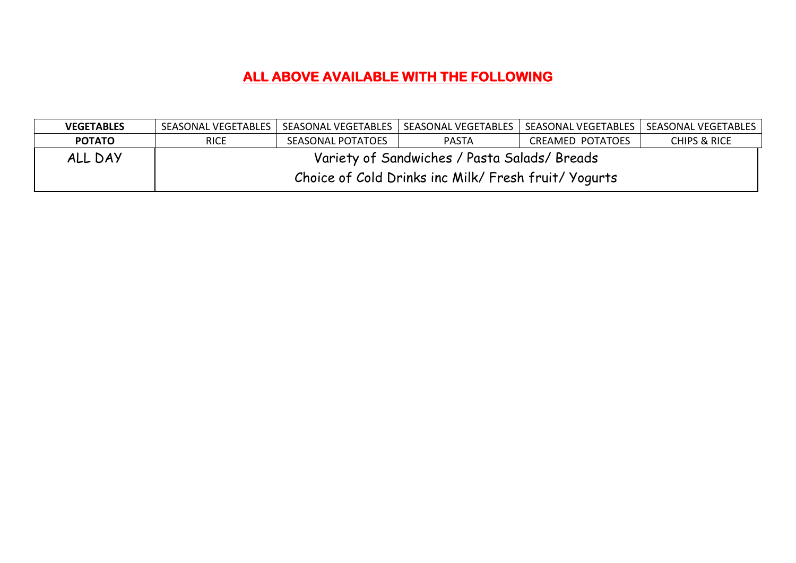# **ALL ABOVE AVAILABLE WITH THE FOLLOWING**

| <b>VEGETABLES</b> | SEASONAL VEGETABLES                                  |                   | SEASONAL VEGETABLES   SEASONAL VEGETABLES | SEASONAL VEGETABLES   SEASONAL VEGETABLES |              |  |
|-------------------|------------------------------------------------------|-------------------|-------------------------------------------|-------------------------------------------|--------------|--|
| <b>POTATO</b>     | <b>RICE</b>                                          | SEASONAL POTATOES | <b>PASTA</b>                              | CREAMED POTATOES                          | CHIPS & RICE |  |
| ALL DAY           | Variety of Sandwiches / Pasta Salads/ Breads         |                   |                                           |                                           |              |  |
|                   | Choice of Cold Drinks inc Milk/ Fresh fruit/ Yogurts |                   |                                           |                                           |              |  |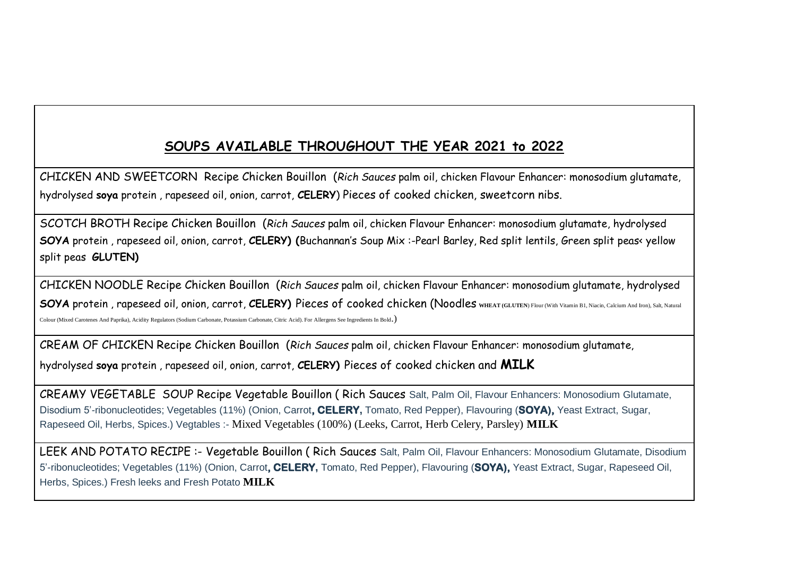## **SOUPS AVAILABLE THROUGHOUT THE YEAR 2021 to 2022**

CHICKEN AND SWEETCORN Recipe Chicken Bouillon (*Rich Sauces* palm oil, chicken Flavour Enhancer: monosodium glutamate, hydrolysed **soya** protein , rapeseed oil, onion, carrot, **CELERY**) Pieces of cooked chicken, sweetcorn nibs.

SCOTCH BROTH Recipe Chicken Bouillon (*Rich Sauces* palm oil, chicken Flavour Enhancer: monosodium glutamate, hydrolysed **SOYA** protein , rapeseed oil, onion, carrot, **CELERY) (**Buchannan's Soup Mix :-Pearl Barley, Red split lentils, Green split peas< yellow split peas **GLUTEN)**

CHICKEN NOODLE Recipe Chicken Bouillon (*Rich Sauces* palm oil, chicken Flavour Enhancer: monosodium glutamate, hydrolysed **SOYA** protein , rapeseed oil, onion, carrot, **CELERY)** Pieces of cooked chicken (Noodles **WHEAT (GLUTEN**) Flour (With Vitamin B1, Niacin, Calcium And Iron), Salt, Natural Colour (Mixed Carotenes And Paprika), Acidity Regulators (Sodium Carbonate, Potassium Carbonate, Citric Acid). For Allergens See Ingredients In Bold.)

CREAM OF CHICKEN Recipe Chicken Bouillon (*Rich Sauces* palm oil, chicken Flavour Enhancer: monosodium glutamate,

hydrolysed **soya** protein , rapeseed oil, onion, carrot, **CELERY)** Pieces of cooked chicken and **MILK**

CREAMY VEGETABLE SOUP Recipe Vegetable Bouillon ( Rich Sauces Salt, Palm Oil, Flavour Enhancers: Monosodium Glutamate, Disodium 5'-ribonucleotides; Vegetables (11%) (Onion, Carrot**, CELERY,** Tomato, Red Pepper), Flavouring (**SOYA),** Yeast Extract, Sugar, Rapeseed Oil, Herbs, Spices.) Vegtables :- Mixed Vegetables (100%) (Leeks, Carrot, Herb Celery, Parsley) **MILK**

LEEK AND POTATO RECIPE :- Vegetable Bouillon (Rich Sauces Salt, Palm Oil, Flavour Enhancers: Monosodium Glutamate, Disodium 5'-ribonucleotides; Vegetables (11%) (Onion, Carrot**, CELERY,** Tomato, Red Pepper), Flavouring (**SOYA),** Yeast Extract, Sugar, Rapeseed Oil, Herbs, Spices.) Fresh leeks and Fresh Potato **MILK**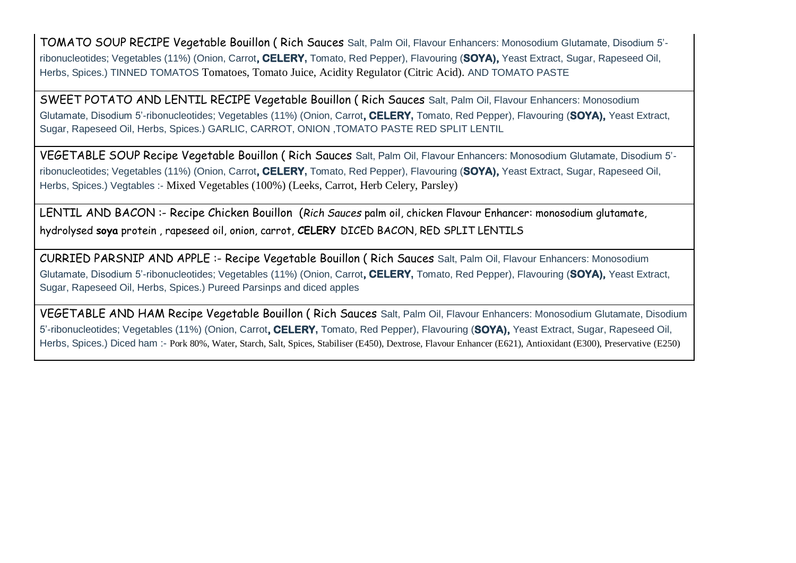TOMATO SOUP RECIPE Vegetable Bouillon ( Rich Sauces Salt, Palm Oil, Flavour Enhancers: Monosodium Glutamate, Disodium 5' ribonucleotides; Vegetables (11%) (Onion, Carrot**, CELERY,** Tomato, Red Pepper), Flavouring (**SOYA),** Yeast Extract, Sugar, Rapeseed Oil, Herbs, Spices.) TINNED TOMATOS Tomatoes, Tomato Juice, Acidity Regulator (Citric Acid). AND TOMATO PASTE

SWEET POTATO AND LENTIL RECIPE Vegetable Bouillon ( Rich Sauces Salt, Palm Oil, Flavour Enhancers: Monosodium Glutamate, Disodium 5'-ribonucleotides; Vegetables (11%) (Onion, Carrot**, CELERY,** Tomato, Red Pepper), Flavouring (**SOYA),** Yeast Extract, Sugar, Rapeseed Oil, Herbs, Spices.) GARLIC, CARROT, ONION ,TOMATO PASTE RED SPLIT LENTIL

VEGETABLE SOUP Recipe Vegetable Bouillon ( Rich Sauces Salt, Palm Oil, Flavour Enhancers: Monosodium Glutamate, Disodium 5' ribonucleotides; Vegetables (11%) (Onion, Carrot**, CELERY,** Tomato, Red Pepper), Flavouring (**SOYA),** Yeast Extract, Sugar, Rapeseed Oil, Herbs, Spices.) Vegtables :- Mixed Vegetables (100%) (Leeks, Carrot, Herb Celery, Parsley)

LENTIL AND BACON :- Recipe Chicken Bouillon (*Rich Sauces* palm oil, chicken Flavour Enhancer: monosodium glutamate, hydrolysed **soya** protein , rapeseed oil, onion, carrot, **CELERY** DICED BACON, RED SPLIT LENTILS

CURRIED PARSNIP AND APPLE :- Recipe Vegetable Bouillon ( Rich Sauces Salt, Palm Oil, Flavour Enhancers: Monosodium Glutamate, Disodium 5'-ribonucleotides; Vegetables (11%) (Onion, Carrot**, CELERY,** Tomato, Red Pepper), Flavouring (**SOYA),** Yeast Extract, Sugar, Rapeseed Oil, Herbs, Spices.) Pureed Parsinps and diced apples

VEGETABLE AND HAM Recipe Vegetable Bouillon ( Rich Sauces Salt, Palm Oil, Flavour Enhancers: Monosodium Glutamate, Disodium 5'-ribonucleotides; Vegetables (11%) (Onion, Carrot**, CELERY,** Tomato, Red Pepper), Flavouring (**SOYA),** Yeast Extract, Sugar, Rapeseed Oil, Herbs, Spices.) Diced ham :- Pork 80%, Water, Starch, Salt, Spices, Stabiliser (E450), Dextrose, Flavour Enhancer (E621), Antioxidant (E300), Preservative (E250)